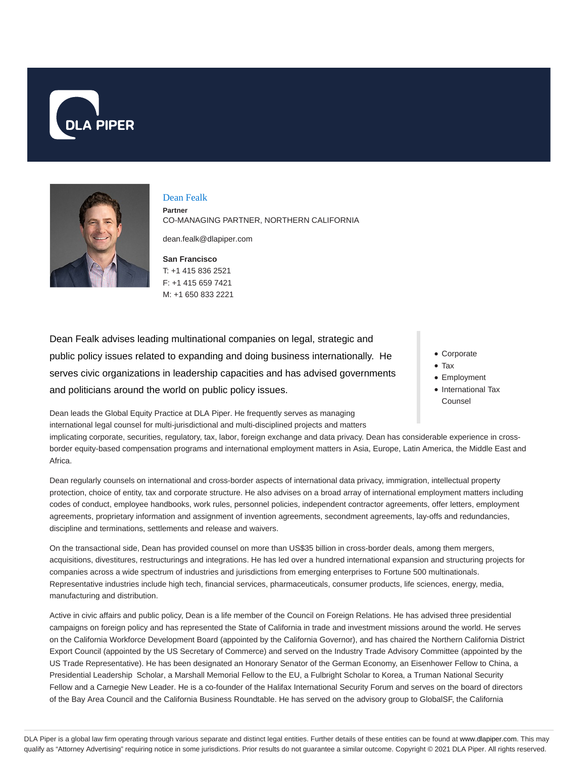



# Dean Fealk

**Partner** CO-MANAGING PARTNER, NORTHERN CALIFORNIA

dean.fealk@dlapiper.com

**San Francisco** T: +1 415 836 2521 F: +1 415 659 7421 M: +1 650 833 2221

Dean Fealk advises leading multinational companies on legal, strategic and public policy issues related to expanding and doing business internationally. He serves civic organizations in leadership capacities and has advised governments and politicians around the world on public policy issues.

Dean leads the Global Equity Practice at DLA Piper. He frequently serves as managing international legal counsel for multi-jurisdictional and multi-disciplined projects and matters

- Corporate
- Tax
- Employment
- International Tax Counsel

implicating corporate, securities, regulatory, tax, labor, foreign exchange and data privacy. Dean has considerable experience in crossborder equity-based compensation programs and international employment matters in Asia, Europe, Latin America, the Middle East and Africa.

Dean regularly counsels on international and cross-border aspects of international data privacy, immigration, intellectual property protection, choice of entity, tax and corporate structure. He also advises on a broad array of international employment matters including codes of conduct, employee handbooks, work rules, personnel policies, independent contractor agreements, offer letters, employment agreements, proprietary information and assignment of invention agreements, secondment agreements, lay-offs and redundancies, discipline and terminations, settlements and release and waivers.

On the transactional side, Dean has provided counsel on more than US\$35 billion in cross-border deals, among them mergers, acquisitions, divestitures, restructurings and integrations. He has led over a hundred international expansion and structuring projects for companies across a wide spectrum of industries and jurisdictions from emerging enterprises to Fortune 500 multinationals. Representative industries include high tech, financial services, pharmaceuticals, consumer products, life sciences, energy, media, manufacturing and distribution.

Active in civic affairs and public policy, Dean is a life member of the Council on Foreign Relations. He has advised three presidential campaigns on foreign policy and has represented the State of California in trade and investment missions around the world. He serves on the California Workforce Development Board (appointed by the California Governor), and has chaired the Northern California District Export Council (appointed by the US Secretary of Commerce) and served on the Industry Trade Advisory Committee (appointed by the US Trade Representative). He has been designated an Honorary Senator of the German Economy, an Eisenhower Fellow to China, a Presidential Leadership Scholar, a Marshall Memorial Fellow to the EU, a Fulbright Scholar to Korea, a Truman National Security Fellow and a Carnegie New Leader. He is a co-founder of the Halifax International Security Forum and serves on the board of directors of the Bay Area Council and the California Business Roundtable. He has served on the advisory group to GlobalSF, the California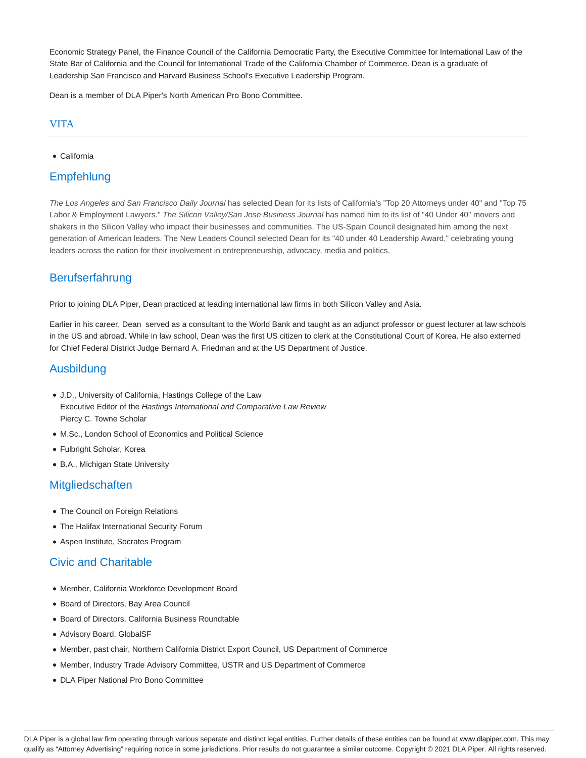Economic Strategy Panel, the Finance Council of the California Democratic Party, the Executive Committee for International Law of the State Bar of California and the Council for International Trade of the California Chamber of Commerce. Dean is a graduate of Leadership San Francisco and Harvard Business School's Executive Leadership Program.

Dean is a member of DLA Piper's North American Pro Bono Committee.

#### VITA

California

# Empfehlung

The Los Angeles and San Francisco Daily Journal has selected Dean for its lists of California's "Top 20 Attorneys under 40" and "Top 75 Labor & Employment Lawyers." The Silicon Valley/San Jose Business Journal has named him to its list of "40 Under 40" movers and shakers in the Silicon Valley who impact their businesses and communities. The US-Spain Council designated him among the next generation of American leaders. The New Leaders Council selected Dean for its "40 under 40 Leadership Award," celebrating young leaders across the nation for their involvement in entrepreneurship, advocacy, media and politics.

# Berufserfahrung

Prior to joining DLA Piper, Dean practiced at leading international law firms in both Silicon Valley and Asia.

Earlier in his career, Dean served as a consultant to the World Bank and taught as an adjunct professor or guest lecturer at law schools in the US and abroad. While in law school, Dean was the first US citizen to clerk at the Constitutional Court of Korea. He also externed for Chief Federal District Judge Bernard A. Friedman and at the US Department of Justice.

#### Ausbildung

- J.D., University of California, Hastings College of the Law Executive Editor of the Hastings International and Comparative Law Review Piercy C. Towne Scholar
- M.Sc., London School of Economics and Political Science
- Fulbright Scholar, Korea
- B.A., Michigan State University

## **Mitgliedschaften**

- The Council on Foreign Relations
- The Halifax International Security Forum
- Aspen Institute, Socrates Program

## Civic and Charitable

- Member, California Workforce Development Board
- Board of Directors, Bay Area Council
- Board of Directors, California Business Roundtable
- Advisory Board, GlobalSF
- Member, past chair, Northern California District Export Council, US Department of Commerce
- Member, Industry Trade Advisory Committee, USTR and US Department of Commerce
- DLA Piper National Pro Bono Committee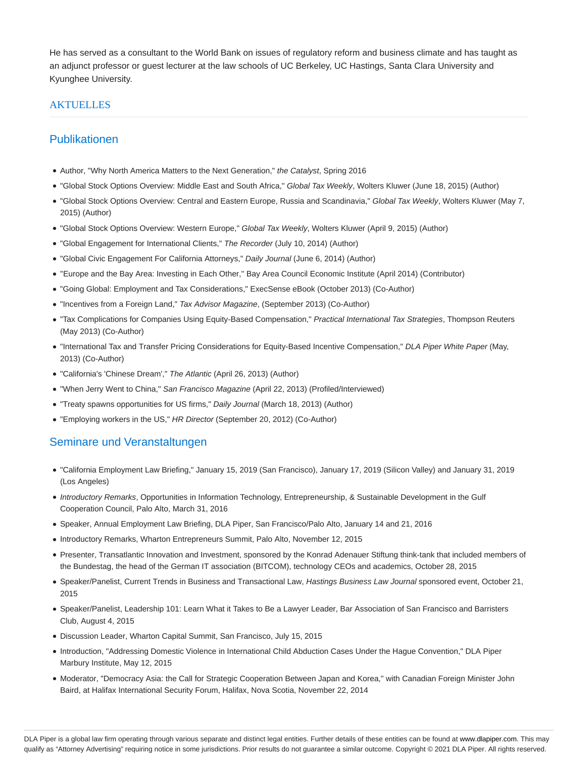He has served as a consultant to the World Bank on issues of regulatory reform and business climate and has taught as an adjunct professor or guest lecturer at the law schools of UC Berkeley, UC Hastings, Santa Clara University and Kyunghee University.

#### **AKTUELLES**

#### Publikationen

- Author, "Why North America Matters to the Next Generation," the Catalyst, Spring 2016
- "Global Stock Options Overview: Middle East and South Africa," Global Tax Weekly, Wolters Kluwer (June 18, 2015) (Author)
- "Global Stock Options Overview: Central and Eastern Europe, Russia and Scandinavia," Global Tax Weekly, Wolters Kluwer (May 7, 2015) (Author)
- "Global Stock Options Overview: Western Europe," Global Tax Weekly, Wolters Kluwer (April 9, 2015) (Author)
- "Global Engagement for International Clients," The Recorder (July 10, 2014) (Author)
- "Global Civic Engagement For California Attorneys," Daily Journal (June 6, 2014) (Author)
- ''Europe and the Bay Area: Investing in Each Other,'' Bay Area Council Economic Institute (April 2014) (Contributor)
- "Going Global: Employment and Tax Considerations," ExecSense eBook (October 2013) (Co-Author)
- "Incentives from a Foreign Land," Tax Advisor Magazine, (September 2013) (Co-Author)
- . "Tax Complications for Companies Using Equity-Based Compensation," Practical International Tax Strategies, Thompson Reuters (May 2013) (Co-Author)
- . "International Tax and Transfer Pricing Considerations for Equity-Based Incentive Compensation," DLA Piper White Paper (May, 2013) (Co-Author)
- "California's 'Chinese Dream'," The Atlantic (April 26, 2013) (Author)
- "When Jerry Went to China," San Francisco Magazine (April 22, 2013) (Profiled/Interviewed)
- "Treaty spawns opportunities for US firms," Daily Journal (March 18, 2013) (Author)
- "Employing workers in the US," HR Director (September 20, 2012) (Co-Author)

## Seminare und Veranstaltungen

- "California Employment Law Briefing," January 15, 2019 (San Francisco), January 17, 2019 (Silicon Valley) and January 31, 2019 (Los Angeles)
- Introductory Remarks, Opportunities in Information Technology, Entrepreneurship, & Sustainable Development in the Gulf Cooperation Council, Palo Alto, March 31, 2016
- Speaker, Annual Employment Law Briefing, DLA Piper, San Francisco/Palo Alto, January 14 and 21, 2016
- Introductory Remarks, Wharton Entrepreneurs Summit, Palo Alto, November 12, 2015
- Presenter, Transatlantic Innovation and Investment, sponsored by the Konrad Adenauer Stiftung think-tank that included members of the Bundestag, the head of the German IT association (BITCOM), technology CEOs and academics, October 28, 2015
- Speaker/Panelist, Current Trends in Business and Transactional Law, Hastings Business Law Journal sponsored event, October 21, 2015
- Speaker/Panelist, Leadership 101: Learn What it Takes to Be a Lawyer Leader, Bar Association of San Francisco and Barristers Club, August 4, 2015
- Discussion Leader, Wharton Capital Summit, San Francisco, July 15, 2015
- Introduction, "Addressing Domestic Violence in International Child Abduction Cases Under the Hague Convention," DLA Piper Marbury Institute, May 12, 2015
- Moderator, "Democracy Asia: the Call for Strategic Cooperation Between Japan and Korea," with Canadian Foreign Minister John Baird, at Halifax International Security Forum, Halifax, Nova Scotia, November 22, 2014